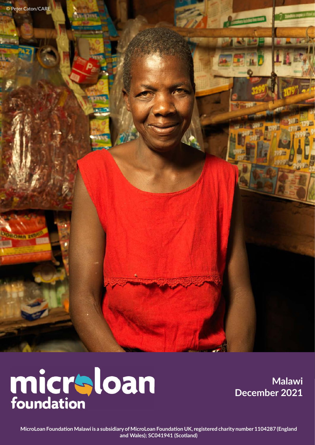

**CONTRACT** 

# micraloan

**Malawi December 2021**

**MicroLoan Foundation Malawi is a subsidiary of MicroLoan Foundation UK, registered charity number 1104287 (England and Wales); SC041941 (Scotland)**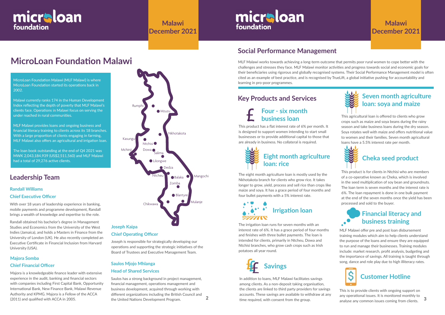# **MicroLoan Foundation Malawi**

## **Leadership Team**



MLF Malawi works towards achieving a long-term outcome that permits poor rural women to cope better with the challenges and stresses they face. MLF Malawi monitor activities and progress towards social and economic goals for their beneficiaries using rigorous and globally recognised systems. Their Social Performance Management model is often cited as an example of best practice, and is recognised by TrueLift, a global initiative pushing for accountability and learning in pro-poor programmes.

## **Social Performance Management**

#### **Chief Operating Officer**

Joseph is responsible for strategically developing our operations and supporting the strategic initiatives of the Board of Trustees and Executive Management Team.



**Malawi December 2021**

# micraloan foundation

MicroLoan Foundation Malawi (MLF Malawi) is where MicroLoan Foundation started its operations back in 2002.

Malawi currently ranks 174 in the Human Development Index reflecting the depth of poverty that MLF Malawi's clients face. Operations in Malawi focus on serving the under reached in rural communities.

MLF Malawi provides loans and ongoing business and financial literacy training to clients across its 18 branches. With a large proportion of clients engaging in farming, MLF Malawi also offers an agricultural and irrigation loan.

The loan book outstanding at the end of Q4 2021 was MWK 2,043,184,939 (US\$2,511,560) and MLF Malawi had a total of 29,276 active clients.

## **Key Products and Services**



This is to provide clients with ongoing support on any operational issues. It is monitored monthly to analyse any common issues coming from clients.

#### **Financial literacy and**  .. **business training**

MLF Malawi offer pre and post loan disbursement training modules which aim to help clients understand the purpose of the loans and ensure they are equipped to run and manage their businesses. Training modules include: market research, profit analysis, budgeting and the importance of savings. All training is taught through song, dance and role play due to high illiteracy rates.

This product has a flat interest rate of 6% per month. It is designed to support women intending to start small businesses or to provide additional capital to those that are already in business. No collateral is required.

## **Four - six month business loan**



In addition to loans, MLF Malawi facilitates savings among clients. As a non-deposit taking organisation, the clients are linked to third party providers for savings accounts. These savings are available to withdraw at any time required, with consent from the group.

The eight month agriculture loan is mostly used by the Nkhotakota branch for clients who grow rice. It takes longer to grow, yield, process and sell rice than crops like maize and soya. It has a grace period of four months and four bullet payments with a 5% interest rate.

This agricultural loan is offered to clients who grow crops such as maize and soya beans during the rainy season and take business loans during the dry season. Soya rotates well with maize and offers nutritional value to women and their families. Seven month agricultural loans have a 5.5% interest rate per month.



# **Seven month agriculture loan: soya and maize**

#### **Randall Williams**

#### **Chief Executive Officer**

With over 18 years of leadership experience in banking, mobile payments and programme development, Randall brings a wealth of knowledge and expertise to the role.

Randall obtained his bachelor's degree in Management Studies and Economics from the University of the West Indies (Jamaica), and holds a Masters in Finance from the University of London (UK). He also recently completed an Executive Certificate in Financial Inclusion from Harvard University (USA).

### **Saulos Mjojo Mhlanga Head of Shared Services**

Saulos has a strong background in project management, financial management, operations management and business development, acquired through working with different organizations including the British Council and the United Nations Development Program.

## **Malawi December 2021**



The irrigation loan runs for seven months with an interest rate of 6%. It has a grace period of four months and finishes with three bullet payments. The loan is intended for clients, primarily in Ntcheu, Dowa and Ntchisi branches, who grow cash crops such as Irish potatoes all year round.



This product is for clients in Ntchisi who are members of a co-operative known as Cheka, which is involved in the seed multiplication of soy bean and groundnuts. The loan term is seven months and the interest rate is 6%. The loan repayment is done in one bulk payment at the end of the seven months once the yield has been processed and sold to the buyer.

#### **Majora Somba**

#### **Chief Financial Officer**

Majora is a knowledgeable finance leader with extensive experience in the audit, banking and financial sectors with companies including First Capital Bank, Opportunity International Bank, New Finance Bank, Malawi Revenue Authority and KPMG. Majora is a Fellow of the ACCA (2011) and qualified with ACCA in 2005.